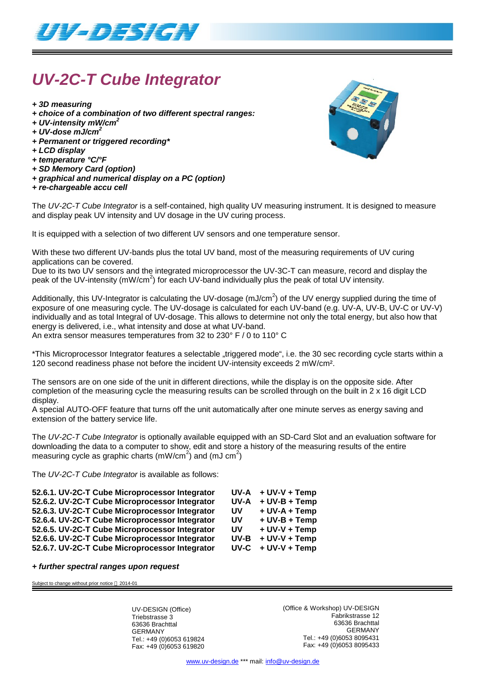

# *UV-2C-T Cube Integrator*

- *+ 3D measuring*
- *+ choice of a combination of two different spectral ranges:*
- *+ UV-intensity mW/cm<sup>2</sup>*
- *+ UV-dose mJ/cm<sup>2</sup>*
- *+ Permanent or triggered recording\**
- *+ LCD display*
- *+ temperature °C/°F*
- *+ SD Memory Card (option)*
- *+ graphical and numerical display on a PC (option)*
- *+ re-chargeable accu cell*

The *UV-2C-T Cube Integrator* is a self-contained, high quality UV measuring instrument. It is designed to measure and display peak UV intensity and UV dosage in the UV curing process.

It is equipped with a selection of two different UV sensors and one temperature sensor.

With these two different UV-bands plus the total UV band, most of the measuring requirements of UV curing applications can be covered.

Due to its two UV sensors and the integrated microprocessor the UV-3C-T can measure, record and display the peak of the UV-intensity (mW/cm<sup>2</sup>) for each UV-band individually plus the peak of total UV intensity.

Additionally, this UV-Integrator is calculating the UV-dosage (mJ/cm<sup>2</sup>) of the UV energy supplied during the time of exposure of one measuring cycle. The UV-dosage is calculated for each UV-band (e.g. UV-A, UV-B, UV-C or UV-V) individually and as total Integral of UV-dosage. This allows to determine not only the total energy, but also how that energy is delivered, i.e., what intensity and dose at what UV-band.

An extra sensor measures temperatures from 32 to 230° F / 0 to 110° C

\*This Microprocessor Integrator features a selectable "triggered mode", i.e. the 30 sec recording cycle starts within a 120 second readiness phase not before the incident UV-intensity exceeds 2 mW/cm².

The sensors are on one side of the unit in different directions, while the display is on the opposite side. After completion of the measuring cycle the measuring results can be scrolled through on the built in 2 x 16 digit LCD display.

A special AUTO-OFF feature that turns off the unit automatically after one minute serves as energy saving and extension of the battery service life.

The *UV-2C-T Cube Integrator* is optionally available equipped with an SD-Card Slot and an evaluation software for downloading the data to a computer to show, edit and store a history of the measuring results of the entire measuring cycle as graphic charts (mW/cm<sup>2</sup>) and (mJ cm<sup>2</sup>)

The *UV-2C-T Cube Integrator* is available as follows:

| 52.6.1. UV-2C-T Cube Microprocessor Integrator | UV-A | + UV-V + Temp   |
|------------------------------------------------|------|-----------------|
| 52.6.2. UV-2C-T Cube Microprocessor Integrator | UV-A | $+$ UV-B + Temp |
| 52.6.3. UV-2C-T Cube Microprocessor Integrator | UV.  | + UV-A + Temp   |
| 52.6.4. UV-2C-T Cube Microprocessor Integrator | UV.  | + UV-B + Temp   |
| 52.6.5. UV-2C-T Cube Microprocessor Integrator | UV.  | + UV-V + Temp   |
| 52.6.6. UV-2C-T Cube Microprocessor Integrator | UV-B | + UV-V + Temp   |
| 52.6.7. UV-2C-T Cube Microprocessor Integrator | UV-C | + UV-V + Temp   |

#### *+ further spectral ranges upon request*

Subject to change without prior notice  $@$  2014-01

UV-DESIGN (Office) Triebstrasse 3 63636 Brachttal GERMANY Tel.: +49 (0)6053 619824 Fax: +49 (0)6053 619820 (Office & Workshop) UV-DESIGN Fabrikstrasse 12 63636 Brachttal GERMANY Tel.: +49 (0)6053 8095431 Fax: +49 (0)6053 8095433